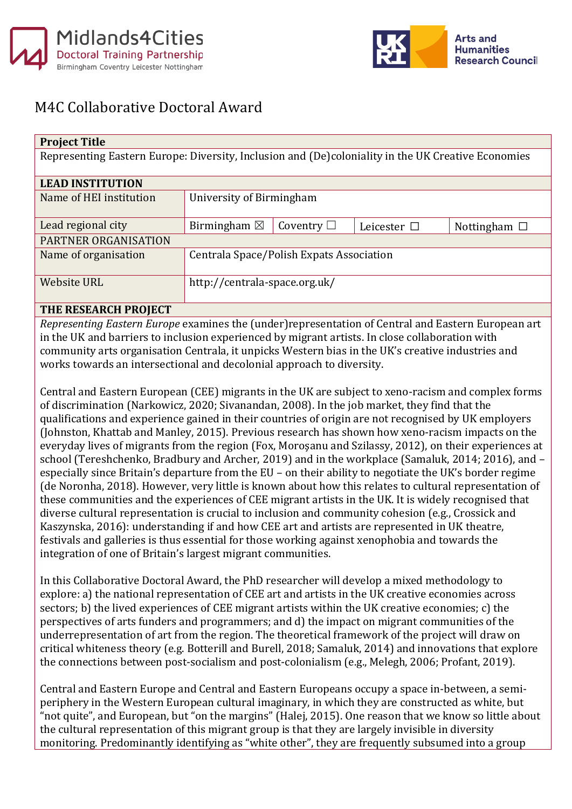



## M4C Collaborative Doctoral Award

| <b>Project Title</b>                                                                               |                                          |                 |                  |                   |
|----------------------------------------------------------------------------------------------------|------------------------------------------|-----------------|------------------|-------------------|
| Representing Eastern Europe: Diversity, Inclusion and (De)coloniality in the UK Creative Economies |                                          |                 |                  |                   |
|                                                                                                    |                                          |                 |                  |                   |
| <b>LEAD INSTITUTION</b>                                                                            |                                          |                 |                  |                   |
| Name of HEI institution                                                                            | University of Birmingham                 |                 |                  |                   |
|                                                                                                    |                                          |                 |                  |                   |
| Lead regional city                                                                                 | Birmingham $\boxtimes$                   | Coventry $\Box$ | Leicester $\Box$ | Nottingham $\Box$ |
| <b>PARTNER ORGANISATION</b>                                                                        |                                          |                 |                  |                   |
| Name of organisation                                                                               | Centrala Space/Polish Expats Association |                 |                  |                   |
|                                                                                                    |                                          |                 |                  |                   |
| <b>Website URL</b>                                                                                 | http://centrala-space.org.uk/            |                 |                  |                   |
|                                                                                                    |                                          |                 |                  |                   |

## **THE RESEARCH PROJECT**

*Representing Eastern Europe* examines the (under)representation of Central and Eastern European art in the UK and barriers to inclusion experienced by migrant artists. In close collaboration with community arts organisation Centrala, it unpicks Western bias in the UK's creative industries and works towards an intersectional and decolonial approach to diversity.

Central and Eastern European (CEE) migrants in the UK are subject to xeno-racism and complex forms of discrimination (Narkowicz, 2020; Sivanandan, 2008). In the job market, they find that the qualifications and experience gained in their countries of origin are not recognised by UK employers (Johnston, Khattab and Manley, 2015). Previous research has shown how xeno-racism impacts on the everyday lives of migrants from the region (Fox, Moroşanu and Szilassy, 2012), on their experiences at school (Tereshchenko, Bradbury and Archer, 2019) and in the workplace (Samaluk, 2014; 2016), and – especially since Britain's departure from the EU – on their ability to negotiate the UK's border regime (de Noronha, 2018). However, very little is known about how this relates to cultural representation of these communities and the experiences of CEE migrant artists in the UK. It is widely recognised that diverse cultural representation is crucial to inclusion and community cohesion (e.g., Crossick and Kaszynska, 2016): understanding if and how CEE art and artists are represented in UK theatre, festivals and galleries is thus essential for those working against xenophobia and towards the integration of one of Britain's largest migrant communities.

In this Collaborative Doctoral Award, the PhD researcher will develop a mixed methodology to explore: a) the national representation of CEE art and artists in the UK creative economies across sectors; b) the lived experiences of CEE migrant artists within the UK creative economies; c) the perspectives of arts funders and programmers; and d) the impact on migrant communities of the underrepresentation of art from the region. The theoretical framework of the project will draw on critical whiteness theory (e.g. Botterill and Burell, 2018; Samaluk, 2014) and innovations that explore the connections between post-socialism and post-colonialism (e.g., Melegh, 2006; Profant, 2019).

Central and Eastern Europe and Central and Eastern Europeans occupy a space in-between, a semiperiphery in the Western European cultural imaginary, in which they are constructed as white, but "not quite", and European, but "on the margins" (Halej, 2015). One reason that we know so little about the cultural representation of this migrant group is that they are largely invisible in diversity monitoring. Predominantly identifying as "white other", they are frequently subsumed into a group